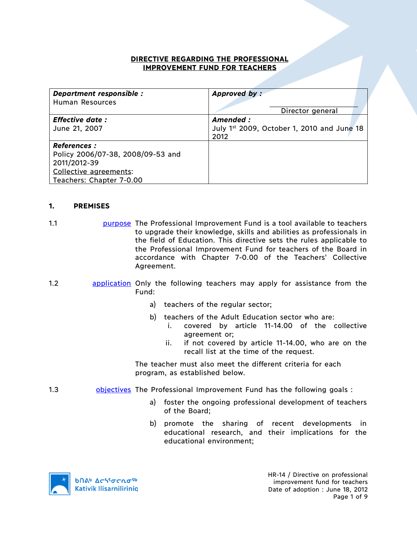### **DIRECTIVE REGARDING THE PROFESSIONAL IMPROVEMENT FUND FOR TEACHERS**

| Department responsible :          | Approved by:                               |  |
|-----------------------------------|--------------------------------------------|--|
| Human Resources                   |                                            |  |
|                                   | Director general                           |  |
| <b>Effective date:</b>            | Amended :                                  |  |
| June 21, 2007                     | July 1st 2009, October 1, 2010 and June 18 |  |
|                                   | 2012                                       |  |
| <b>References :</b>               |                                            |  |
| Policy 2006/07-38, 2008/09-53 and |                                            |  |
| 2011/2012-39                      |                                            |  |
| Collective agreements:            |                                            |  |
| Teachers: Chapter 7-0.00          |                                            |  |

### **1. PREMISES**

- 1.1 purpose The Professional Improvement Fund is a tool available to teachers to upgrade their knowledge, skills and abilities as professionals in the field of Education. This directive sets the rules applicable to the Professional Improvement Fund for teachers of the Board in accordance with Chapter 7-0.00 of the Teachers' Collective Agreement.
- 1.2 application Only the following teachers may apply for assistance from the Fund:
	- a) teachers of the regular sector;
	- b) teachers of the Adult Education sector who are:
		- i. covered by article 11-14.00 of the collective agreement or;
		- ii. if not covered by article 11-14.00, who are on the recall list at the time of the request.

The teacher must also meet the different criteria for each program, as established below.

- 1.3 **b** objectives The Professional Improvement Fund has the following goals :
	- a) foster the ongoing professional development of teachers of the Board;
	- b) promote the sharing of recent developments in educational research, and their implications for the educational environment;

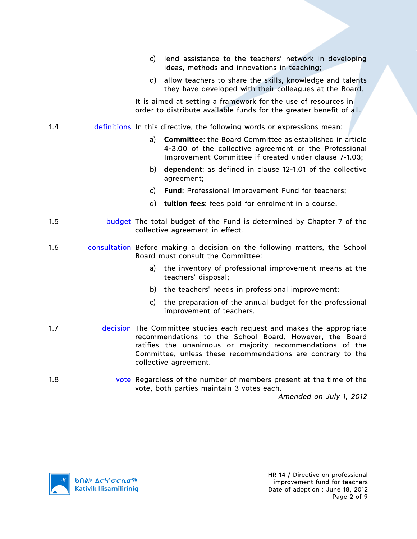- c) lend assistance to the teachers' network in developing ideas, methods and innovations in teaching;
- d) allow teachers to share the skills, knowledge and talents they have developed with their colleagues at the Board.

It is aimed at setting a framework for the use of resources in order to distribute available funds for the greater benefit of all.

### 1.4 definitions In this directive, the following words or expressions mean:

- a) **Committee**: the Board Committee as established in article 4-3.00 of the collective agreement or the Professional Improvement Committee if created under clause 7-1.03;
- b) **dependent**: as defined in clause 12-1.01 of the collective agreement;
- c) **Fund**: Professional Improvement Fund for teachers;
- d) **tuition fees**: fees paid for enrolment in a course.
- 1.5 budget The total budget of the Fund is determined by Chapter 7 of the collective agreement in effect.
- 1.6 consultation Before making a decision on the following matters, the School Board must consult the Committee:
	- a) the inventory of professional improvement means at the teachers' disposal;
	- b) the teachers' needs in professional improvement;
	- c) the preparation of the annual budget for the professional improvement of teachers.
- 1.7 **decision** The Committee studies each request and makes the appropriate recommendations to the School Board. However, the Board ratifies the unanimous or majority recommendations of the Committee, unless these recommendations are contrary to the collective agreement.
- 1.8 vote Regardless of the number of members present at the time of the vote, both parties maintain 3 votes each.

*Amended on July 1, 2012*

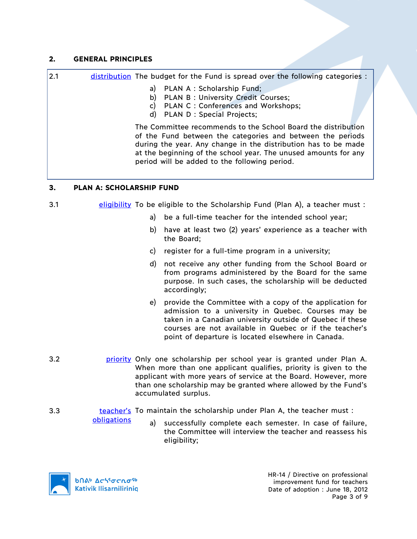## **2. GENERAL PRINCIPLES**

2.1 distribution The budget for the Fund is spread over the following categories :

- a) PLAN A : Scholarship Fund;
- b) PLAN B : University Credit Courses;
- c) PLAN C : Conferences and Workshops;
- d) PLAN D : Special Projects;

The Committee recommends to the School Board the distribution of the Fund between the categories and between the periods during the year. Any change in the distribution has to be made at the beginning of the school year. The unused amounts for any period will be added to the following period.

# **3. PLAN A: SCHOLARSHIP FUND**

# 3.1 **eligibility** To be eligible to the Scholarship Fund (Plan A), a teacher must :

- a) be a full-time teacher for the intended school year;
- b) have at least two (2) years' experience as a teacher with the Board;
- c) register for a full-time program in a university;
- d) not receive any other funding from the School Board or from programs administered by the Board for the same purpose. In such cases, the scholarship will be deducted accordingly;
- e) provide the Committee with a copy of the application for admission to a university in Quebec. Courses may be taken in a Canadian university outside of Quebec if these courses are not available in Quebec or if the teacher's point of departure is located elsewhere in Canada.
- 3.2 **priority** Only one scholarship per school year is granted under Plan A. When more than one applicant qualifies, priority is given to the applicant with more years of service at the Board. However, more than one scholarship may be granted where allowed by the Fund's accumulated surplus.
- 3.3 teacher's To maintain the scholarship under Plan A, the teacher must :
	- a) successfully complete each semester. In case of failure, the Committee will interview the teacher and reassess his eligibility;



obligations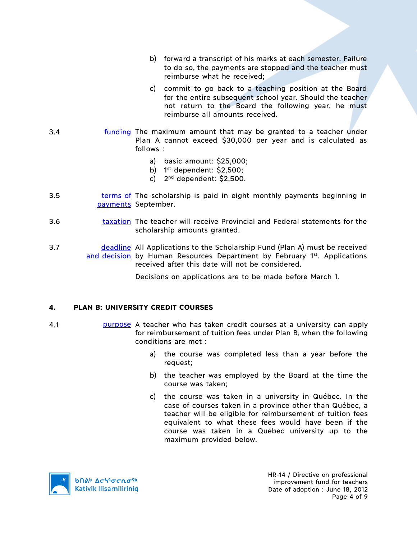- b) forward a transcript of his marks at each semester. Failure to do so, the payments are stopped and the teacher must reimburse what he received;
- c) commit to go back to a teaching position at the Board for the entire subsequent school year. Should the teacher not return to the Board the following year, he must reimburse all amounts received.
- 3.4 funding The maximum amount that may be granted to a teacher under Plan A cannot exceed \$30,000 per year and is calculated as follows :
	- a) basic amount: \$25,000;
	- b)  $1^{st}$  dependent: \$2,500;
	- c)  $2^{nd}$  dependent: \$2,500.
- 3.5 **terms of The scholarship is paid in eight monthly payments beginning in** payments September.
- 3.6 taxation The teacher will receive Provincial and Federal statements for the scholarship amounts granted.
- 3.7 deadline All Applications to the Scholarship Fund (Plan A) must be received and decision by Human Resources Department by February 1st. Applications received after this date will not be considered.

Decisions on applications are to be made before March 1.

### **4. PLAN B: UNIVERSITY CREDIT COURSES**

- 4.1 **purpose** A teacher who has taken credit courses at a university can apply for reimbursement of tuition fees under Plan B, when the following conditions are met :
	- a) the course was completed less than a year before the request;
	- b) the teacher was employed by the Board at the time the course was taken;
	- c) the course was taken in a university in Québec. In the case of courses taken in a province other than Québec, a teacher will be eligible for reimbursement of tuition fees equivalent to what these fees would have been if the course was taken in a Québec university up to the maximum provided below.



HR-14 / Directive on professional improvement fund for teachers Date of adoption : June 18, 2012 Page 4 of 9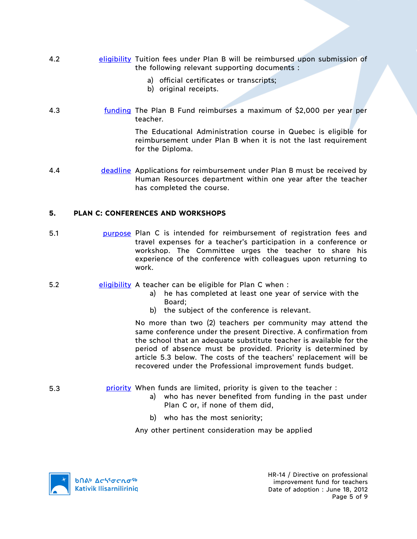- 4.2 eligibility Tuition fees under Plan B will be reimbursed upon submission of the following relevant supporting documents :
	- a) official certificates or transcripts;
	- b) original receipts.
- 4.3 funding The Plan B Fund reimburses a maximum of \$2,000 per year per teacher.

The Educational Administration course in Quebec is eligible for reimbursement under Plan B when it is not the last requirement for the Diploma.

4.4 deadline Applications for reimbursement under Plan B must be received by Human Resources department within one year after the teacher has completed the course.

## **5. PLAN C: CONFERENCES AND WORKSHOPS**

- 5.1 purpose Plan C is intended for reimbursement of registration fees and travel expenses for a teacher's participation in a conference or workshop. The Committee urges the teacher to share his experience of the conference with colleagues upon returning to work.
- 5.2 eligibility A teacher can be eligible for Plan C when:
	- a) he has completed at least one year of service with the Board;
	- b) the subject of the conference is relevant.

No more than two (2) teachers per community may attend the same conference under the present Directive. A confirmation from the school that an adequate substitute teacher is available for the period of absence must be provided. Priority is determined by article 5.3 below. The costs of the teachers' replacement will be recovered under the Professional improvement funds budget.

- 5.3 priority When funds are limited, priority is given to the teacher :
	- a) who has never benefited from funding in the past under Plan C or, if none of them did,
	- b) who has the most seniority;

Any other pertinent consideration may be applied



HR-14 / Directive on professional improvement fund for teachers Date of adoption : June 18, 2012 Page 5 of 9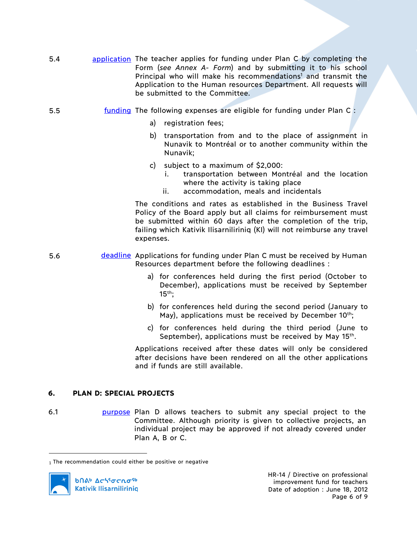- 5.4 application The teacher applies for funding under Plan C by completing the Form (*see Annex A- Form*) and by submitting it to his school Principal who will make his recommendations<sup>1</sup> and transmit the Application to the Human resources Department. All requests will be submitted to the Committee.
- 5.5 funding The following expenses are eligible for funding under Plan C :
	- a) registration fees;
	- b) transportation from and to the place of assignment in Nunavik to Montréal or to another community within the Nunavik;
	- c) subject to a maximum of \$2,000:
		- i. transportation between Montréal and the location where the activity is taking place
		- ii. accommodation, meals and incidentals

The conditions and rates as established in the Business Travel Policy of the Board apply but all claims for reimbursement must be submitted within 60 days after the completion of the trip, failing which Kativik Ilisarniliriniq (KI) will not reimburse any travel expenses.

- 5.6 **deadline** Applications for funding under Plan C must be received by Human Resources department before the following deadlines :
	- a) for conferences held during the first period (October to December), applications must be received by September  $15<sup>th</sup>$ :
	- b) for conferences held during the second period (January to May), applications must be received by December  $10^{th}$ ;
	- c) for conferences held during the third period (June to September), applications must be received by May 15<sup>th</sup>.

Applications received after these dates will only be considered after decisions have been rendered on all the other applications and if funds are still available.

### **6. PLAN D: SPECIAL PROJECTS**

 $\overline{a}$ 

6.1 **burpose** Plan D allows teachers to submit any special project to the Committee. Although priority is given to collective projects, an individual project may be approved if not already covered under Plan A, B or C.

<sup>1</sup> The recommendation could either be positive or negative

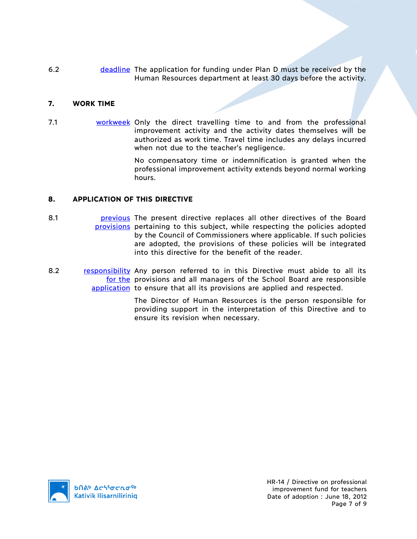6.2 deadline The application for funding under Plan D must be received by the Human Resources department at least 30 days before the activity.

### **7. WORK TIME**

7.1 workweek Only the direct travelling time to and from the professional improvement activity and the activity dates themselves will be authorized as work time. Travel time includes any delays incurred when not due to the teacher's negligence.

> No compensatory time or indemnification is granted when the professional improvement activity extends beyond normal working hours.

# **8. APPLICATION OF THIS DIRECTIVE**

- 8.1 **business** previous The present directive replaces all other directives of the Board provisions pertaining to this subject, while respecting the policies adopted by the Council of Commissioners where applicable. If such policies are adopted, the provisions of these policies will be integrated into this directive for the benefit of the reader.
- 8.2 **responsibility** Any person referred to in this Directive must abide to all its for the provisions and all managers of the School Board are responsible application to ensure that all its provisions are applied and respected.

The Director of Human Resources is the person responsible for providing support in the interpretation of this Directive and to ensure its revision when necessary.

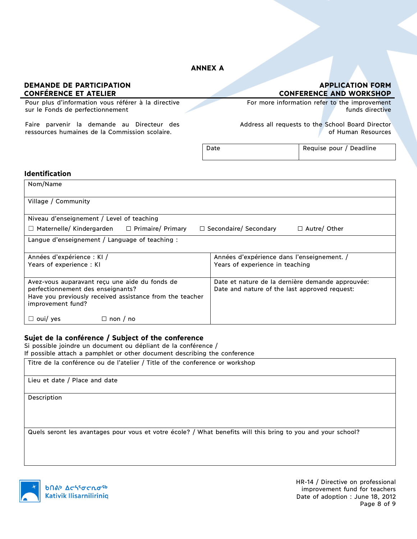# **ANNEX A**

#### **DEMANDE DE PARTICIPATION CONFÉRENCE ET ATELIER**

Pour plus d'information vous référer à la directive sur le Fonds de perfectionnement

Faire parvenir la demande au Directeur des ressources humaines de la Commission scolaire.

**APPLICATION FORM CONFERENCE AND WORKSHOP**

For more information refer to the improvement funds directive

Address all requests to the School Board Director of Human Resources

| Date | Requise pour / Deadline |  |
|------|-------------------------|--|
|      |                         |  |

#### **Identification**

| Nom/Name                                                                                                      |                                                  |  |  |
|---------------------------------------------------------------------------------------------------------------|--------------------------------------------------|--|--|
| Village / Community                                                                                           |                                                  |  |  |
| Niveau d'enseignement / Level of teaching                                                                     |                                                  |  |  |
| □ Primaire/ Primary<br>$\Box$ Secondaire/ Secondary<br>$\Box$ Autre/ Other<br>$\Box$ Maternelle/ Kindergarden |                                                  |  |  |
| Langue d'enseignement / Language of teaching :                                                                |                                                  |  |  |
| Années d'expérience : KI /                                                                                    | Années d'expérience dans l'enseignement. /       |  |  |
| Years of experience: KI                                                                                       | Years of experience in teaching                  |  |  |
| Avez-vous auparavant reçu une aide du fonds de                                                                | Date et nature de la dernière demande approuvée: |  |  |
| perfectionnement des enseignants?<br>Have you previously received assistance from the teacher                 | Date and nature of the last approved request:    |  |  |
| improvement fund?                                                                                             |                                                  |  |  |
| $\Box$ oui/ yes<br>$\Box$ non / no                                                                            |                                                  |  |  |

### **Sujet de la conférence / Subject of the conference**

Si possible joindre un document ou dépliant de la conférence /

If possible attach a pamphlet or other document describing the conference

Titre de la conférence ou de l'atelier / Title of the conference or workshop

Lieu et date / Place and date

Description

Quels seront les avantages pour vous et votre école? / What benefits will this bring to you and your school?



**b**Πል<sup>b</sup> Δςιγσς ησ<sup>ς 6</sup> **Kativik Ilisarniliriniq**